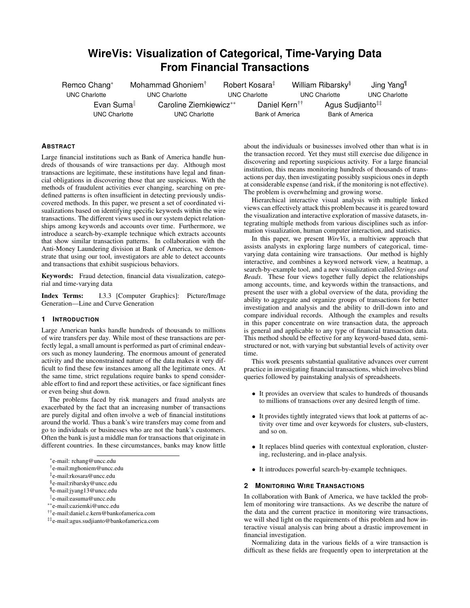# **WireVis: Visualization of Categorical, Time-Varying Data From Financial Transactions**

| Remco Chang*                        | Mohammad Ghoniem <sup>†</sup> |                                                | Robert Kosara <sup>#</sup>                   | William Ribarsky <sup>§</sup> |                                                        | Jing Yang <sup>¶</sup> |
|-------------------------------------|-------------------------------|------------------------------------------------|----------------------------------------------|-------------------------------|--------------------------------------------------------|------------------------|
| <b>UNC Charlotte</b>                | <b>UNC Charlotte</b>          |                                                | <b>UNC Charlotte</b>                         | <b>UNC Charlotte</b>          |                                                        | <b>UNC Charlotte</b>   |
| Evan Sumall<br><b>UNC Charlotte</b> |                               | Caroline Ziemkiewicz**<br><b>UNC Charlotte</b> | Daniel Kern <sup>††</sup><br>Bank of America |                               | Agus Sudijanto <sup>##</sup><br><b>Bank of America</b> |                        |
|                                     |                               |                                                |                                              |                               |                                                        |                        |

## **ABSTRACT**

Large financial institutions such as Bank of America handle hundreds of thousands of wire transactions per day. Although most transactions are legitimate, these institutions have legal and financial obligations in discovering those that are suspicious. With the methods of fraudulent activities ever changing, searching on predefined patterns is often insufficient in detecting previously undiscovered methods. In this paper, we present a set of coordinated visualizations based on identifying specific keywords within the wire transactions. The different views used in our system depict relationships among keywords and accounts over time. Furthermore, we introduce a search-by-example technique which extracts accounts that show similar transaction patterns. In collaboration with the Anti-Money Laundering division at Bank of America, we demonstrate that using our tool, investigators are able to detect accounts and transactions that exhibit suspicious behaviors.

Keywords: Fraud detection, financial data visualization, categorial and time-varying data

Index Terms: I.3.3 [Computer Graphics]: Picture/Image Generation—Line and Curve Generation

# **1 INTRODUCTION**

Large American banks handle hundreds of thousands to millions of wire transfers per day. While most of these transactions are perfectly legal, a small amount is performed as part of criminal endeavors such as money laundering. The enormous amount of generated activity and the unconstrained nature of the data makes it very difficult to find these few instances among all the legitimate ones. At the same time, strict regulations require banks to spend considerable effort to find and report these activities, or face significant fines or even being shut down.

The problems faced by risk managers and fraud analysts are exacerbated by the fact that an increasing number of transactions are purely digital and often involve a web of financial institutions around the world. Thus a bank's wire transfers may come from and go to individuals or businesses who are not the bank's customers. Often the bank is just a middle man for transactions that originate in different countries. In these circumstances, banks may know little

about the individuals or businesses involved other than what is in the transaction record. Yet they must still exercise due diligence in discovering and reporting suspicious activity. For a large financial institution, this means monitoring hundreds of thousands of transactions per day, then investigating possibly suspicious ones in depth at considerable expense (and risk, if the monitoring is not effective). The problem is overwhelming and growing worse.

Hierarchical interactive visual analysis with multiple linked views can effectively attack this problem because it is geared toward the visualization and interactive exploration of massive datasets, integrating multiple methods from various disciplines such as information visualization, human computer interaction, and statistics.

In this paper, we present *WireVis*, a multiview approach that assists analysts in exploring large numbers of categorical, timevarying data containing wire transactions. Our method is highly interactive, and combines a keyword network view, a heatmap, a search-by-example tool, and a new visualization called *Strings and Beads*. These four views together fully depict the relationships among accounts, time, and keywords within the transactions, and present the user with a global overview of the data, providing the ability to aggregate and organize groups of transactions for better investigation and analysis and the ability to drill-down into and compare individual records. Although the examples and results in this paper concentrate on wire transaction data, the approach is general and applicable to any type of financial transaction data. This method should be effective for any keyword-based data, semistructured or not, with varying but substantial levels of activity over time.

This work presents substantial qualitative advances over current practice in investigating financial transactions, which involves blind queries followed by painstaking analysis of spreadsheets.

- It provides an overview that scales to hundreds of thousands to millions of transactions over any desired length of time.
- It provides tightly integrated views that look at patterns of activity over time and over keywords for clusters, sub-clusters, and so on.
- It replaces blind queries with contextual exploration, clustering, reclustering, and in-place analysis.
- It introduces powerful search-by-example techniques.

## **2 MONITORING WIRE TRANSACTIONS**

In collaboration with Bank of America, we have tackled the problem of monitoring wire transactions. As we describe the nature of the data and the current practice in monitoring wire transactions, we will shed light on the requirements of this problem and how interactive visual analysis can bring about a drastic improvement in financial investigation.

Normalizing data in the various fields of a wire transaction is difficult as these fields are frequently open to interpretation at the

<sup>∗</sup> e-mail: rchang@uncc.edu

<sup>†</sup> e-mail:mghoniem@uncc.edu

<sup>‡</sup> e-mail:rkosara@uncc.edu

<sup>§</sup> e-mail:ribarsky@uncc.edu

<sup>¶</sup> e-mail:jyang13@uncc.edu

k e-mail:easuma@uncc.edu

<sup>∗∗</sup>e-mail:caziemki@uncc.edu

<sup>††</sup>e-mail:daniel.c.kern@bankofamerica.com

<sup>‡‡</sup>e-mail:agus.sudjianto@bankofamerica.com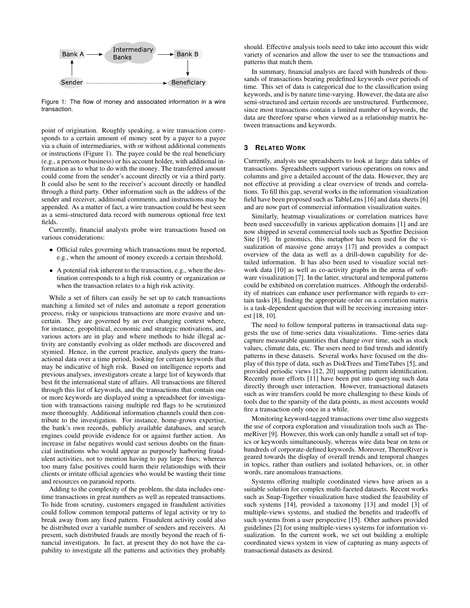

Figure 1: The flow of money and associated information in a wire transaction.

point of origination. Roughly speaking, a wire transaction corresponds to a certain amount of money sent by a payer to a payee via a chain of intermediaries, with or without additional comments or instructions (Figure 1). The payee could be the real beneficiary (e.g., a person or business) or his account holder, with additional information as to what to do with the money. The transferred amount could come from the sender's account directly or via a third party. It could also be sent to the receiver's account directly or handled through a third party. Other information such as the address of the sender and receiver, additional comments, and instructions may be appended. As a matter of fact, a wire transaction could be best seen as a semi-structured data record with numerous optional free text fields.

Currently, financial analysts probe wire transactions based on various considerations:

- Official rules governing which transactions must be reported, e.g., when the amount of money exceeds a certain threshold.
- A potential risk inherent to the transaction, e.g., when the destination corresponds to a high risk country or organization or when the transaction relates to a high risk activity.

While a set of filters can easily be set up to catch transactions matching a limited set of rules and automate a report generation process, risky or suspicious transactions are more evasive and uncertain. They are governed by an ever changing context where, for instance, geopolitical, economic and strategic motivations, and various actors are in play and where methods to hide illegal activity are constantly evolving as older methods are discovered and stymied. Hence, in the current practice, analysts query the transactional data over a time period, looking for certain keywords that may be indicative of high risk. Based on intelligence reports and previous analyses, investigators create a large list of keywords that best fit the international state of affairs. All transactions are filtered through this list of keywords, and the transactions that contain one or more keywords are displayed using a spreadsheet for investigation with transactions raising multiple red flags to be scrutinized more thoroughly. Additional information channels could then contribute to the investigation. For instance, home-grown expertise, the bank's own records, publicly available databases, and search engines could provide evidence for or against further action. An increase in false negatives would cast serious doubts on the financial institutions who would appear as purposely harboring fraudulent activities, not to mention having to pay large fines; whereas too many false positives could harm their relationships with their clients or irritate official agencies who would be wasting their time and resources on paranoid reports.

Adding to the complexity of the problem, the data includes onetime transactions in great numbers as well as repeated transactions. To hide from scrutiny, customers engaged in fraudulent activities could follow common temporal patterns of legal activity or try to break away from any fixed pattern. Fraudulent activity could also be distributed over a variable number of senders and receivers. At present, such distributed frauds are mostly beyond the reach of financial investigators. In fact, at present they do not have the capability to investigate all the patterns and activities they probably

should. Effective analysis tools need to take into account this wide variety of scenarios and allow the user to see the transactions and patterns that match them.

In summary, financial analysts are faced with hundreds of thousands of transactions bearing predefined keywords over periods of time. This set of data is categorical due to the classification using keywords, and is by nature time-varying. However, the data are also semi-structured and certain records are unstructured. Furthermore, since most transactions contain a limited number of keywords, the data are therefore sparse when viewed as a relationship matrix between transactions and keywords.

## **3 RELATED WORK**

Currently, analysts use spreadsheets to look at large data tables of transactions. Spreadsheets support various operations on rows and columns and give a detailed account of the data. However, they are not effective at providing a clear overview of trends and correlations. To fill this gap, several works in the information visualization field have been proposed such as TableLens [16] and data sheets [6] and are now part of commercial information visualization suites.

Similarly, heatmap visualizations or correlation matrices have been used successfully in various application domains [1] and are now shipped in several commercial tools such as Spotfire Decision Site [19]. In genomics, this metaphor has been used for the visualization of massive gene arrays [17] and provides a compact overview of the data as well as a drill-down capability for detailed information. It has also been used to visualize social network data [10] as well as co-activity graphs in the arena of software visualization [7]. In the latter, structural and temporal patterns could be exhibited on correlation matrices. Although the orderability of matrices can enhance user performance with regards to certain tasks [8], finding the appropriate order on a correlation matrix is a task-dependent question that will be receiving increasing interest [18, 10].

The need to follow temporal patterns in transactional data suggests the use of time-series data visualizations. Time-series data capture measurable quantities that change over time, such as stock values, climate data, etc. The users need to find trends and identify patterns in these datasets. Several works have focused on the display of this type of data, such as DiskTrees and TimeTubes [5], and provided periodic views [12, 20] supporting pattern identification. Recently more efforts [11] have been put into querying such data directly through user interaction. However, transactional datasets such as wire transfers could be more challenging to these kinds of tools due to the sparsity of the data points, as most accounts would fire a transaction only once in a while.

Monitoring keyword-tagged transactions over time also suggests the use of corpora exploration and visualization tools such as ThemeRiver [9]. However, this work can only handle a small set of topics or keywords simultaneously, whereas wire data bear on tens or hundreds of corporate-defined keywords. Moreover, ThemeRiver is geared towards the display of overall trends and temporal changes in topics, rather than outliers and isolated behaviors, or, in other words, rare anomalous transactions.

Systems offering multiple coordinated views have arisen as a suitable solution for complex multi-faceted datasets. Recent works such as Snap-Together visualization have studied the feasibility of such systems [14], provided a taxonomy [13] and model [3] of multiple-views systems, and studied the benefits and tradeoffs of such systems from a user perspective [15]. Other authors provided guidelines [2] for using multiple-views systems for information visualization. In the current work, we set out building a multiple coordinated views system in view of capturing as many aspects of transactional datasets as desired.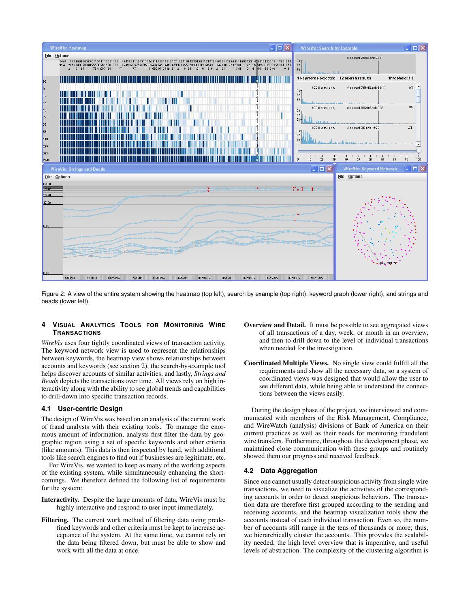

Figure 2: A view of the entire system showing the heatmap (top left), search by example (top right), keyword graph (lower right), and strings and beads (lower left).

## **4 VISUAL ANALYTICS TOOLS FOR MONITORING WIRE TRANSACTIONS**

*WireVis* uses four tightly coordinated views of transaction activity. The keyword network view is used to represent the relationships between keywords, the heatmap view shows relationships between accounts and keywords (see section 2), the search-by-example tool helps discover accounts of similar activities, and lastly, *Strings and Beads* depicts the transactions over time. All views rely on high interactivity along with the ability to see global trends and capabilities to drill-down into specific transaction records.

## **4.1 User-centric Design**

The design of WireVis was based on an analysis of the current work of fraud analysts with their existing tools. To manage the enormous amount of information, analysts first filter the data by geographic region using a set of specific keywords and other criteria (like amounts). This data is then inspected by hand, with additional tools like search engines to find out if businesses are legitimate, etc.

For WireVis, we wanted to keep as many of the working aspects of the existing system, while simultaneously enhancing the shortcomings. We therefore defined the following list of requirements for the system:

- Interactivity. Despite the large amounts of data, WireVis must be highly interactive and respond to user input immediately.
- Filtering. The current work method of filtering data using predefined keywords and other criteria must be kept to increase acceptance of the system. At the same time, we cannot rely on the data being filtered down, but must be able to show and work with all the data at once.
- Overview and Detail. It must be possible to see aggregated views of all transactions of a day, week, or month in an overview, and then to drill down to the level of individual transactions when needed for the investigation.
- Coordinated Multiple Views. No single view could fulfill all the requirements and show all the necessary data, so a system of coordinated views was designed that would allow the user to see different data, while being able to understand the connections between the views easily.

During the design phase of the project, we interviewed and communicated with members of the Risk Management, Compliance, and WireWatch (analysis) divisions of Bank of America on their current practices as well as their needs for monitoring fraudulent wire transfers. Furthermore, throughout the development phase, we maintained close communication with these groups and routinely showed them our progress and received feedback.

## **4.2 Data Aggregation**

Since one cannot usually detect suspicious activity from single wire transactions, we need to visualize the activities of the corresponding accounts in order to detect suspicious behaviors. The transaction data are therefore first grouped according to the sending and receiving accounts, and the heatmap visualization tools show the accounts instead of each individual transaction. Even so, the number of accounts still range in the tens of thousands or more; thus, we hierarchically cluster the accounts. This provides the scalability needed, the high level overview that is imperative, and useful levels of abstraction. The complexity of the clustering algorithm is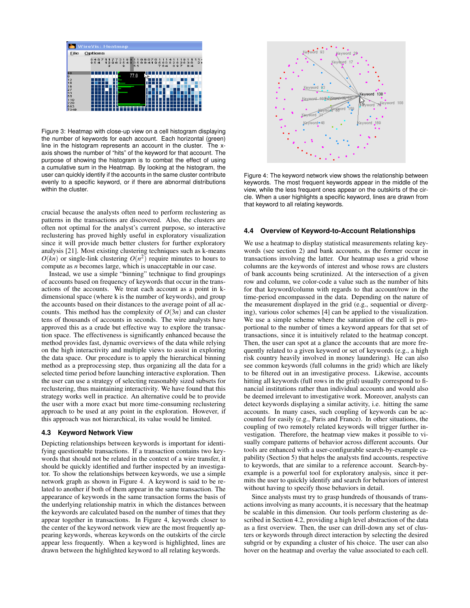

Figure 3: Heatmap with close-up view on a cell histogram displaying the number of keywords for each account. Each horizontal (green) line in the histogram represents an account in the cluster. The xaxis shows the number of "hits" of the keyword for that account. The purpose of showing the histogram is to combat the effect of using a cumulative sum in the Heatmap. By looking at the histogram, the user can quickly identify if the accounts in the same cluster contribute evenly to a specific keyword, or if there are abnormal distributions within the cluster.

crucial because the analysts often need to perform reclustering as patterns in the transactions are discovered. Also, the clusters are often not optimal for the analyst's current purpose, so interactive reclustering has proved highly useful in exploratory visualization since it will provide much better clusters for further exploratory analysis [21]. Most existing clustering techniques such as k-means  $O(kn)$  or single-link clustering  $O(n^2)$  require minutes to hours to compute as *n* becomes large, which is unacceptable in our case.

Instead, we use a simple "binning" technique to find groupings of accounts based on frequency of keywords that occur in the transactions of the accounts. We treat each account as a point in kdimensional space (where k is the number of keywords), and group the accounts based on their distances to the average point of all accounts. This method has the complexity of  $O(3n)$  and can cluster tens of thousands of accounts in seconds. The wire analysts have approved this as a crude but effective way to explore the transaction space. The effectiveness is significantly enhanced because the method provides fast, dynamic overviews of the data while relying on the high interactivity and multiple views to assist in exploring the data space. Our procedure is to apply the hierarchical binning method as a preprocessing step, thus organizing all the data for a selected time period before launching interactive exploration. Then the user can use a strategy of selecting reasonably sized subsets for reclustering, thus maintaining interactivity. We have found that this strategy works well in practice. An alternative could be to provide the user with a more exact but more time-consuming reclustering approach to be used at any point in the exploration. However, if this approach was not hierarchical, its value would be limited.

## **4.3 Keyword Network View**

Depicting relationships between keywords is important for identifying questionable transactions. If a transaction contains two keywords that should not be related in the context of a wire transfer, it should be quickly identified and further inspected by an investigator. To show the relationships between keywords, we use a simple network graph as shown in Figure 4. A keyword is said to be related to another if both of them appear in the same transaction. The appearance of keywords in the same transaction forms the basis of the underlying relationship matrix in which the distances between the keywords are calculated based on the number of times that they appear together in transactions. In Figure 4, keywords closer to the center of the keyword network view are the most frequently appearing keywords, whereas keywords on the outskirts of the circle appear less frequently. When a keyword is highlighted, lines are drawn between the highlighted keyword to all relating keywords.



Figure 4: The keyword network view shows the relationship between keywords. The most frequent keywords appear in the middle of the view, while the less frequent ones appear on the outskirts of the circle. When a user highlights a specific keyword, lines are drawn from that keyword to all relating keywords.

### **4.4 Overview of Keyword-to-Account Relationships**

We use a heatmap to display statistical measurements relating keywords (see section 2) and bank accounts, as the former occur in transactions involving the latter. Our heatmap uses a grid whose columns are the keywords of interest and whose rows are clusters of bank accounts being scrutinized. At the intersection of a given row and column, we color-code a value such as the number of hits for that keyword/column with regards to that account/row in the time-period encompassed in the data. Depending on the nature of the measurement displayed in the grid (e.g., sequential or diverging), various color schemes [4] can be applied to the visualization. We use a simple scheme where the saturation of the cell is proportional to the number of times a keyword appears for that set of transactions, since it is intuitively related to the heatmap concept. Then, the user can spot at a glance the accounts that are more frequently related to a given keyword or set of keywords (e.g., a high risk country heavily involved in money laundering). He can also see common keywords (full columns in the grid) which are likely to be filtered out in an investigative process. Likewise, accounts hitting all keywords (full rows in the grid) usually correspond to financial institutions rather than individual accounts and would also be deemed irrelevant to investigative work. Moreover, analysts can detect keywords displaying a similar activity, i.e. hitting the same accounts. In many cases, such coupling of keywords can be accounted for easily (e.g., Paris and France). In other situations, the coupling of two remotely related keywords will trigger further investigation. Therefore, the heatmap view makes it possible to visually compare patterns of behavior across different accounts. Our tools are enhanced with a user-configurable search-by-example capability (Section 5) that helps the analysts find accounts, respective to keywords, that are similar to a reference account. Search-byexample is a powerful tool for exploratory analysis, since it permits the user to quickly identify and search for behaviors of interest without having to specify those behaviors in detail.

Since analysts must try to grasp hundreds of thousands of transactions involving as many accounts, it is necessary that the heatmap be scalable in this dimension. Our tools perform clustering as described in Section 4.2, providing a high level abstraction of the data as a first overview. Then, the user can drill-down any set of clusters or keywords through direct interaction by selecting the desired subgrid or by expanding a cluster of his choice. The user can also hover on the heatmap and overlay the value associated to each cell.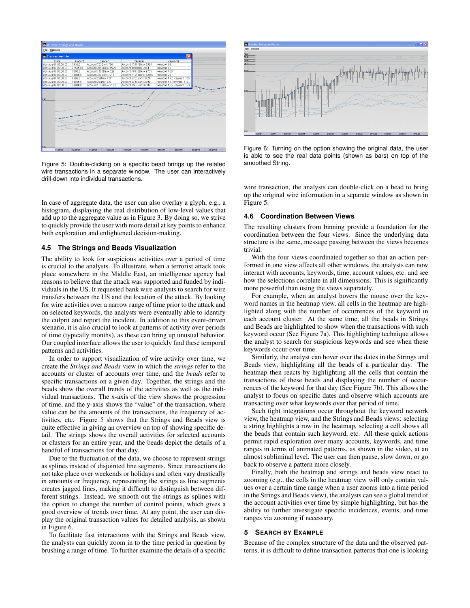

Figure 5: Double-clicking on a specific bead brings up the related wire transactions in a separate window. The user can interactively drill-down into individual transactions.

In case of aggregate data, the user can also overlay a glyph, e.g., a histogram, displaying the real distribution of low-level values that add up to the aggregate value as in Figure 3. By doing so, we strive to quickly provide the user with more detail at key points to enhance both exploration and enlightened decision-making.

## **4.5 The Strings and Beads Visualization**

The ability to look for suspicious activities over a period of time is crucial to the analysts. To illustrate, when a terrorist attack took place somewhere in the Middle East, an intelligence agency had reasons to believe that the attack was supported and funded by individuals in the US. It requested bank wire analysts to search for wire transfers between the US and the location of the attack. By looking for wire activities over a narrow range of time prior to the attack and on selected keywords, the analysts were eventually able to identify the culprit and report the incident. In addition to this event-driven scenario, it is also crucial to look at patterns of activity over periods of time (typically months), as these can bring up unusual behavior. Our coupled interface allows the user to quickly find these temporal patterns and activities.

In order to support visualization of wire activity over time, we create the *Strings and Beads* view in which the *strings* refer to the accounts or cluster of accounts over time, and the *beads* refer to specific transactions on a given day. Together, the strings and the beads show the overall trends of the activities as well as the individual transactions. The x-axis of the view shows the progression of time, and the y-axis shows the "value" of the transaction, where value can be the amounts of the transactions, the frequency of activities, etc. Figure 5 shows that the Strings and Beads view is quite effective in giving an overview on top of showing specific detail. The strings shows the overall activities for selected accounts or clusters for an entire year, and the beads depict the details of a handful of transactions for that day.

Due to the fluctuation of the data, we choose to represent strings as splines instead of disjointed line segments. Since transactions do not take place over weekends or holidays and often vary drastically in amounts or frequency, representing the strings as line segments creates jagged lines, making it difficult to distinguish between different strings. Instead, we smooth out the strings as splines with the option to change the number of control points, which gives a good overview of trends over time. At any point, the user can display the original transaction values for detailed analysis, as shown in Figure 6.

To facilitate fast interactions with the Strings and Beads view, the analysts can quickly zoom in to the time period in question by brushing a range of time. To further examine the details of a specific



Figure 6: Turning on the option showing the original data, the user is able to see the real data points (shown as bars) on top of the smoothed String.

wire transaction, the analysts can double-click on a bead to bring up the original wire information in a separate window as shown in Figure 5.

### **4.6 Coordination Between Views**

The resulting clusters from binning provide a foundation for the coordination between the four views. Since the underlying data structure is the same, message passing between the views becomes trivial.

With the four views coordinated together so that an action performed in one view affects all other windows, the analysts can now interact with accounts, keywords, time, account values, etc. and see how the selections correlate in all dimensions. This is significantly more powerful than using the views separately.

For example, when an analyst hovers the mouse over the keyword names in the heatmap view, all cells in the heatmap are highlighted along with the number of occurrences of the keyword in each account cluster. At the same time, all the beads in Strings and Beads are highlighted to show when the transactions with such keyword occur (See Figure 7a). This highlighting technique allows the analyst to search for suspicious keywords and see when these keywords occur over time.

Similarly, the analyst can hover over the dates in the Strings and Beads view, highlighting all the beads of a particular day. The heatmap then reacts by highlighting all the cells that contain the transactions of these beads and displaying the number of occurrences of the keyword for that day (See Figure 7b). This allows the analyst to focus on specific dates and observe which accounts are transacting over what keywords over that period of time.

Such tight integrations occur throughout the keyword network view, the heatmap view, and the Strings and Beads views: selecting a string highlights a row in the heatmap, selecting a cell shows all the beads that contain such keyword, etc. All these quick actions permit rapid exploration over many accounts, keywords, and time ranges in terms of animated patterns, as shown in the video, at an almost subliminal level. The user can then pause, slow down, or go back to observe a pattern more closely.

Finally, both the heatmap and strings and beads view react to zooming (e.g., the cells in the heatmap view will only contain values over a certain time range when a user zooms into a time period in the Strings and Beads view), the analysts can see a global trend of the account activities over time by simple highlighting, but has the ability to further investigate specific incidences, events, and time ranges via zooming if necessary.

#### **5 SEARCH BY EXAMPLE**

Because of the complex structure of the data and the observed patterns, it is difficult to define transaction patterns that one is looking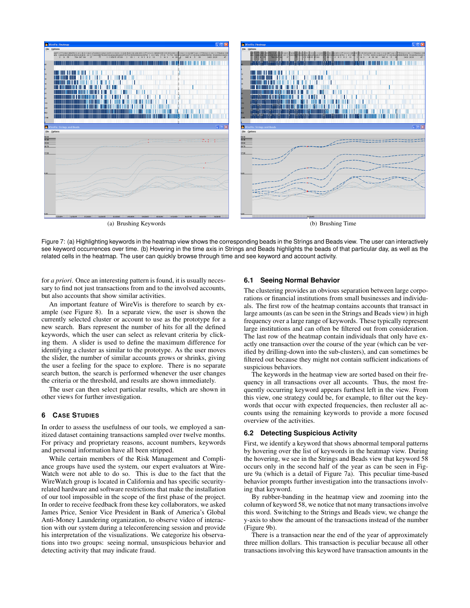

(a) Brushing Keywords (b) Brushing Time

Figure 7: (a) Highlighting keywords in the heatmap view shows the corresponding beads in the Strings and Beads view. The user can interactively see keyword occurrences over time. (b) Hovering in the time axis in Strings and Beads highlights the beads of that particular day, as well as the related cells in the heatmap. The user can quickly browse through time and see keyword and account activity.

for *a priori*. Once an interesting pattern is found, it is usually necessary to find not just transactions from and to the involved accounts, but also accounts that show similar activities.

An important feature of WireVis is therefore to search by example (see Figure 8). In a separate view, the user is shown the currently selected cluster or account to use as the prototype for a new search. Bars represent the number of hits for all the defined keywords, which the user can select as relevant criteria by clicking them. A slider is used to define the maximum difference for identifying a cluster as similar to the prototype. As the user moves the slider, the number of similar accounts grows or shrinks, giving the user a feeling for the space to explore. There is no separate search button, the search is performed whenever the user changes the criteria or the threshold, and results are shown immediately.

The user can then select particular results, which are shown in other views for further investigation.

## **6 CASE STUDIES**

In order to assess the usefulness of our tools, we employed a sanitized dataset containing transactions sampled over twelve months. For privacy and proprietary reasons, account numbers, keywords and personal information have all been stripped.

While certain members of the Risk Management and Compliance groups have used the system, our expert evaluators at Wire-Watch were not able to do so. This is due to the fact that the WireWatch group is located in California and has specific securityrelated hardware and software restrictions that make the installation of our tool impossible in the scope of the first phase of the project. In order to receive feedback from these key collaborators, we asked James Price, Senior Vice President in Bank of America's Global Anti-Money Laundering organization, to observe video of interaction with our system during a teleconferencing session and provide his interpretation of the visualizations. We categorize his observations into two groups: seeing normal, unsuspicious behavior and detecting activity that may indicate fraud.

#### **6.1 Seeing Normal Behavior**

The clustering provides an obvious separation between large corporations or financial institutions from small businesses and individuals. The first row of the heatmap contains accounts that transact in large amounts (as can be seen in the Strings and Beads view) in high frequency over a large range of keywords. These typically represent large institutions and can often be filtered out from consideration. The last row of the heatmap contain individuals that only have exactly one transaction over the course of the year (which can be verified by drilling-down into the sub-clusters), and can sometimes be filtered out because they might not contain sufficient indications of suspicious behaviors.

The keywords in the heatmap view are sorted based on their frequency in all transactions over all accounts. Thus, the most frequently occurring keyword appears furthest left in the view. From this view, one strategy could be, for example, to filter out the keywords that occur with expected frequencies, then recluster all accounts using the remaining keywords to provide a more focused overview of the activities.

#### **6.2 Detecting Suspicious Activity**

First, we identify a keyword that shows abnormal temporal patterns by hovering over the list of keywords in the heatmap view. During the hovering, we see in the Strings and Beads view that keyword 58 occurs only in the second half of the year as can be seen in Figure 9a (which is a detail of Figure 7a). This peculiar time-based behavior prompts further investigation into the transactions involving that keyword.

By rubber-banding in the heatmap view and zooming into the column of keyword 58, we notice that not many transactions involve this word. Switching to the Strings and Beads view, we change the y-axis to show the amount of the transactions instead of the number (Figure 9b).

There is a transaction near the end of the year of approximately three million dollars. This transaction is peculiar because all other transactions involving this keyword have transaction amounts in the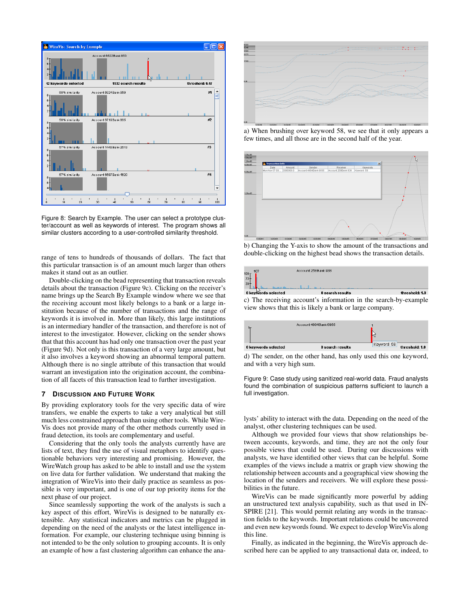

Figure 8: Search by Example. The user can select a prototype cluster/account as well as keywords of interest. The program shows all similar clusters according to a user-controlled similarity threshold.

range of tens to hundreds of thousands of dollars. The fact that this particular transaction is of an amount much larger than others makes it stand out as an outlier.

Double-clicking on the bead representing that transaction reveals details about the transaction (Figure 9c). Clicking on the receiver's name brings up the Search By Example window where we see that the receiving account most likely belongs to a bank or a large institution because of the number of transactions and the range of keywords it is involved in. More than likely, this large institutions is an intermediary handler of the transaction, and therefore is not of interest to the investigator. However, clicking on the sender shows that that this account has had only one transaction over the past year (Figure 9d). Not only is this transaction of a very large amount, but it also involves a keyword showing an abnormal temporal pattern. Although there is no single attribute of this transaction that would warrant an investigation into the origination account, the combination of all facets of this transaction lead to further investigation.

#### **7 DISCUSSION AND FUTURE WORK**

By providing exploratory tools for the very specific data of wire transfers, we enable the experts to take a very analytical but still much less constrained approach than using other tools. While Wire-Vis does not provide many of the other methods currently used in fraud detection, its tools are complementary and useful.

Considering that the only tools the analysts currently have are lists of text, they find the use of visual metaphors to identify questionable behaviors very interesting and promising. However, the WireWatch group has asked to be able to install and use the system on live data for further validation. We understand that making the integration of WireVis into their daily practice as seamless as possible is very important, and is one of our top priority items for the next phase of our project.

Since seamlessly supporting the work of the analysts is such a key aspect of this effort, WireVis is designed to be naturally extensible. Any statistical indicators and metrics can be plugged in depending on the need of the analysts or the latest intelligence information. For example, our clustering technique using binning is not intended to be the only solution to grouping accounts. It is only an example of how a fast clustering algorithm can enhance the ana-



a) When brushing over keyword 58, we see that it only appears a few times, and all those are in the second half of the year.



b) Changing the Y-axis to show the amount of the transactions and double-clicking on the highest bead shows the transaction details.



view shows that this is likely a bank or large company.



d) The sender, on the other hand, has only used this one keyword, and with a very high sum.

Figure 9: Case study using sanitized real-world data. Fraud analysts found the combination of suspicious patterns sufficient to launch a full investigation.

lysts' ability to interact with the data. Depending on the need of the analyst, other clustering techniques can be used.

Although we provided four views that show relationships between accounts, keywords, and time, they are not the only four possible views that could be used. During our discussions with analysts, we have identified other views that can be helpful. Some examples of the views include a matrix or graph view showing the relationship between accounts and a geographical view showing the location of the senders and receivers. We will explore these possibilities in the future.

WireVis can be made significantly more powerful by adding an unstructured text analysis capability, such as that used in IN-SPIRE [21]. This would permit relating any words in the transaction fields to the keywords. Important relations could be uncovered and even new keywords found. We expect to develop WireVis along this line.

Finally, as indicated in the beginning, the WireVis approach described here can be applied to any transactional data or, indeed, to